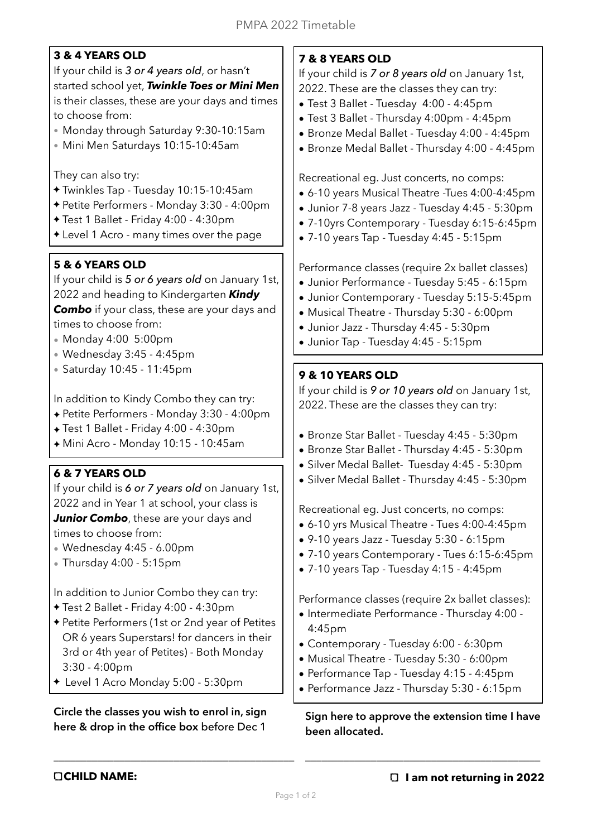# **3 & 4 YEARS OLD**

If your child is *3 or 4 years old*, or hasn't started school yet, *Twinkle Toes or Mini Men*  is their classes, these are your days and times to choose from:

- Monday through Saturday 9:30-10:15am
- Mini Men Saturdays 10:15-10:45am

They can also try:

- Twinkles Tap Tuesday 10:15-10:45am
- Petite Performers Monday 3:30 4:00pm
- Test 1 Ballet Friday 4:00 4:30pm
- Level 1 Acro many times over the page

# **5 & 6 YEARS OLD**

If your child is *5 or 6 years old* on January 1st, 2022 and heading to Kindergarten *Kindy*  **Combo** if your class, these are your days and times to choose from:

- Monday 4:00 5:00pm
- Wednesday 3:45 4:45pm
- Saturday 10:45 11:45pm

In addition to Kindy Combo they can try:

- ✦ Petite Performers Monday 3:30 4:00pm
- ✦ Test 1 Ballet Friday 4:00 4:30pm
- ✦ Mini Acro Monday 10:15 10:45am

## **6 & 7 YEARS OLD**

If your child is *6 or 7 years old* on January 1st, 2022 and in Year 1 at school, your class is *Junior Combo*, these are your days and times to choose from:

- Wednesday 4:45 6.00pm
- Thursday 4:00 5:15pm

In addition to Junior Combo they can try:

- Test 2 Ballet Friday 4:00 4:30pm
- Petite Performers (1st or 2nd year of Petites OR 6 years Superstars! for dancers in their 3rd or 4th year of Petites) - Both Monday 3:30 - 4:00pm
- Level 1 Acro Monday 5:00 5:30pm

#### **Circle the classes you wish to enrol in, sign here & drop in the office box** before Dec 1

\_\_\_\_\_\_\_\_\_\_\_\_\_\_\_\_\_\_\_\_\_\_\_\_\_\_\_\_\_\_\_\_\_\_\_\_\_\_\_\_\_\_\_\_

# **7 & 8 YEARS OLD**

If your child is *7 or 8 years old* on January 1st, 2022. These are the classes they can try:

- Test 3 Ballet Tuesday 4:00 4:45pm
- Test 3 Ballet Thursday 4:00pm 4:45pm
- Bronze Medal Ballet Tuesday 4:00 4:45pm
- Bronze Medal Ballet Thursday 4:00 4:45pm

Recreational eg. Just concerts, no comps:

- 6-10 years Musical Theatre -Tues 4:00-4:45pm
- Junior 7-8 years Jazz Tuesday 4:45 5:30pm
- 7-10yrs Contemporary Tuesday 6:15-6:45pm
- 7-10 years Tap Tuesday 4:45 5:15pm

Performance classes (require 2x ballet classes)

- Junior Performance Tuesday 5:45 6:15pm
- Junior Contemporary Tuesday 5:15-5:45pm
- Musical Theatre Thursday 5:30 6:00pm
- Junior Jazz Thursday 4:45 5:30pm
- Junior Tap Tuesday 4:45 5:15pm

### **9 & 10 YEARS OLD**

If your child is *9 or 10 years old* on January 1st, 2022. These are the classes they can try:

- Bronze Star Ballet Tuesday 4:45 5:30pm
- Bronze Star Ballet Thursday 4:45 5:30pm
- Silver Medal Ballet- Tuesday 4:45 5:30pm
- Silver Medal Ballet Thursday 4:45 5:30pm

Recreational eg. Just concerts, no comps:

- 6-10 yrs Musical Theatre Tues 4:00-4:45pm
- 9-10 years Jazz Tuesday 5:30 6:15pm
- 7-10 years Contemporary Tues 6:15-6:45pm
- 7-10 years Tap Tuesday 4:15 4:45pm

Performance classes (require 2x ballet classes):

- Intermediate Performance Thursday 4:00 4:45pm
- Contemporary Tuesday 6:00 6:30pm
- Musical Theatre Tuesday 5:30 6:00pm
- Performance Tap Tuesday 4:15 4:45pm
- Performance Jazz Thursday 5:30 6:15pm

#### **Sign here to approve the extension time I have been allocated.**

\_\_\_\_\_\_\_\_\_\_\_\_\_\_\_\_\_\_\_\_\_\_\_\_\_\_\_\_\_\_\_\_\_\_\_\_\_\_\_\_\_\_\_